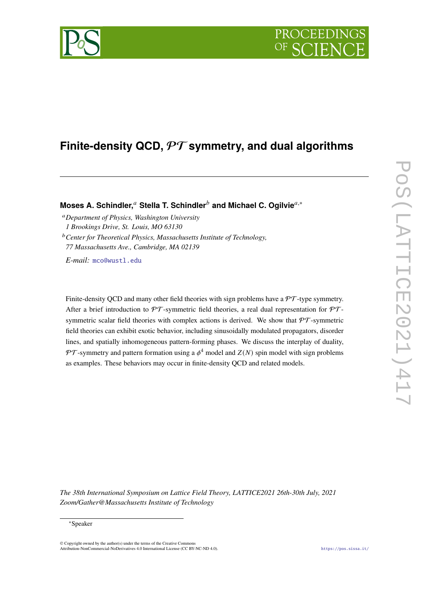# **Finite-density QCD,** PT **symmetry, and dual algorithms**

**Moses A. Schindler,<sup>a</sup> Stella T. Schindler<sup>***b***</sup> and Michael C. Ogilvie<sup>a,∗</sup>** 

<sup>𝑎</sup>*Department of Physics, Washington University 1 Brookings Drive, St. Louis, MO 63130*

<sup>b</sup> Center for Theoretical Physics, Massachusetts Institute of Technology, *77 Massachusetts Ave., Cambridge, MA 02139*

*E-mail:* [mco@wustl.edu](mailto:mco@wustl.edu)

Finite-density QCD and many other field theories with sign problems have a  $\mathcal{PT}$ -type symmetry. After a brief introduction to  $\mathcal{PT}$ -symmetric field theories, a real dual representation for  $\mathcal{PT}$ symmetric scalar field theories with complex actions is derived. We show that  $\mathcal{PT}$ -symmetric field theories can exhibit exotic behavior, including sinusoidally modulated propagators, disorder lines, and spatially inhomogeneous pattern-forming phases. We discuss the interplay of duality, PT-symmetry and pattern formation using a  $\phi^4$  model and  $Z(N)$  spin model with sign problems as examples. These behaviors may occur in finite-density QCD and related models.

*The 38th International Symposium on Lattice Field Theory, LATTICE2021 26th-30th July, 2021 Zoom/Gather@Massachusetts Institute of Technology*

© Copyright owned by the author(s) under the terms of the Creative Commons Attribution-NonCommercial-NoDerivatives 4.0 International License (CC BY-NC-ND 4.0). <https://pos.sissa.it/>

<sup>∗</sup>Speaker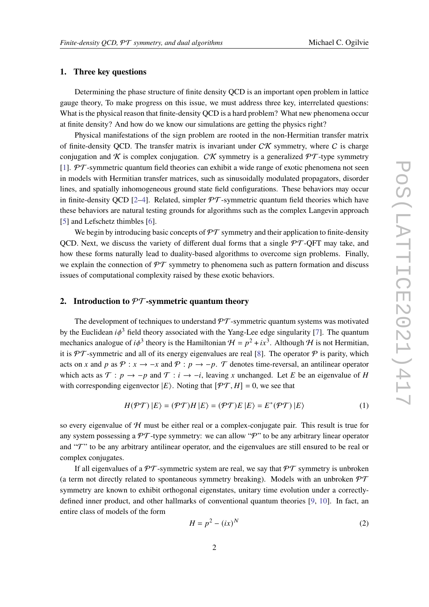## **1. Three key questions**

Determining the phase structure of finite density QCD is an important open problem in lattice gauge theory, To make progress on this issue, we must address three key, interrelated questions: What is the physical reason that finite-density QCD is a hard problem? What new phenomena occur at finite density? And how do we know our simulations are getting the physics right?

Physical manifestations of the sign problem are rooted in the non-Hermitian transfer matrix of finite-density QCD. The transfer matrix is invariant under  $C\mathcal{K}$  symmetry, where C is charge conjugation and K is complex conjugation. CK symmetry is a generalized  $\mathcal{PT}$ -type symmetry [\[1\]](#page-7-0).  $PT$ -symmetric quantum field theories can exhibit a wide range of exotic phenomena not seen in models with Hermitian transfer matrices, such as sinusoidally modulated propagators, disorder lines, and spatially inhomogeneous ground state field configurations. These behaviors may occur in finite-density QCD [\[2](#page-7-1)[–4\]](#page-7-2). Related, simpler  $\mathcal{PT}$ -symmetric quantum field theories which have these behaviors are natural testing grounds for algorithms such as the complex Langevin approach [\[5\]](#page-7-3) and Lefschetz thimbles [\[6\]](#page-7-4).

We begin by introducing basic concepts of  $\mathcal{PT}$  symmetry and their application to finite-density QCD. Next, we discuss the variety of different dual forms that a single  $\mathcal{PT}\text{-}\overline{\text{OPT}}$  may take, and how these forms naturally lead to duality-based algorithms to overcome sign problems. Finally, we explain the connection of  $\mathcal{PT}$  symmetry to phenomena such as pattern formation and discuss issues of computational complexity raised by these exotic behaviors.

#### **2. Introduction to** PT**-symmetric quantum theory**

The development of techniques to understand  $\mathcal{PT}$ -symmetric quantum systems was motivated by the Euclidean  $i\phi^3$  field theory associated with the Yang-Lee edge singularity [\[7\]](#page-7-5). The quantum mechanics analogue of  $i\phi^3$  theory is the Hamiltonian  $\mathcal{H} = p^2 + ix^3$ . Although  $\mathcal H$  is not Hermitian, it is  $\mathcal{PT}$ -symmetric and all of its energy eigenvalues are real [\[8\]](#page-7-6). The operator  $\mathcal P$  is parity, which acts on x and p as  $\mathcal{P}: x \to -x$  and  $\mathcal{P}: p \to -p$ . T denotes time-reversal, an antilinear operator which acts as  $\mathcal{T}: p \to -p$  and  $\mathcal{T}: i \to -i$ , leaving x unchanged. Let E be an eigenvalue of H with corresponding eigenvector  $|E\rangle$ . Noting that  $[\mathcal{PT}, H] = 0$ , we see that

$$
H(\mathcal{PT}) |E\rangle = (\mathcal{PT})H |E\rangle = (\mathcal{PT})E |E\rangle = E^*(\mathcal{PT}) |E\rangle \tag{1}
$$

so every eigenvalue of  $H$  must be either real or a complex-conjugate pair. This result is true for any system possessing a  $\mathcal{PT}$ -type symmetry: we can allow " $\mathcal{P}$ " to be any arbitrary linear operator and "T" to be any arbitrary antilinear operator, and the eigenvalues are still ensured to be real or complex conjugates.

If all eigenvalues of a  $\mathcal{PT}$ -symmetric system are real, we say that  $\mathcal{PT}$  symmetry is unbroken (a term not directly related to spontaneous symmetry breaking). Models with an unbroken  $\mathcal{PT}$ symmetry are known to exhibit orthogonal eigenstates, unitary time evolution under a correctlydefined inner product, and other hallmarks of conventional quantum theories [\[9,](#page-7-7) [10\]](#page-7-8). In fact, an entire class of models of the form

$$
H = p^2 - (ix)^N \tag{2}
$$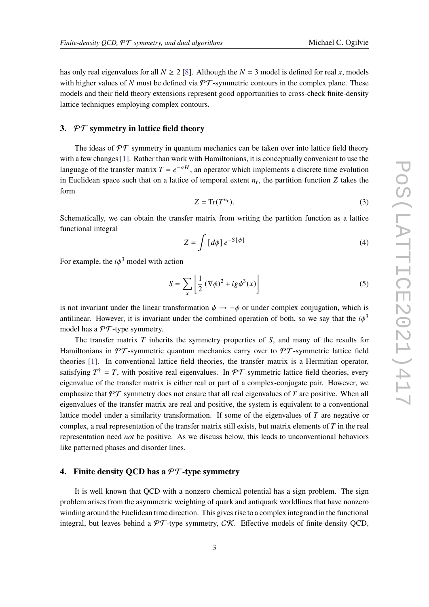has only real eigenvalues for all  $N \ge 2$  [\[8\]](#page-7-6). Although the  $N = 3$  model is defined for real x, models with higher values of N must be defined via  $\mathcal{PT}$ -symmetric contours in the complex plane. These models and their field theory extensions represent good opportunities to cross-check finite-density lattice techniques employing complex contours.

## **3.** PT **symmetry in lattice field theory**

The ideas of  $\mathcal{PT}$  symmetry in quantum mechanics can be taken over into lattice field theory with a few changes [\[1\]](#page-7-0). Rather than work with Hamiltonians, it is conceptually convenient to use the language of the transfer matrix  $T = e^{-aH}$ , an operator which implements a discrete time evolution in Euclidean space such that on a lattice of temporal extent  $n_t$ , the partition function Z takes the form

$$
Z = \text{Tr}(T^{n_t}).\tag{3}
$$

Schematically, we can obtain the transfer matrix from writing the partition function as a lattice functional integral

$$
Z = \int \left[ d\phi \right] e^{-S[\phi]} \tag{4}
$$

For example, the  $i\phi^3$  model with action

$$
S = \sum_{x} \left[ \frac{1}{2} \left( \nabla \phi \right)^2 + ig \phi^3(x) \right] \tag{5}
$$

is not invariant under the linear transformation  $\phi \rightarrow -\phi$  or under complex conjugation, which is antilinear. However, it is invariant under the combined operation of both, so we say that the  $i\phi^3$ model has a  $\mathcal{PT}$ -type symmetry.

The transfer matrix  $T$  inherits the symmetry properties of  $S$ , and many of the results for Hamiltonians in  $\mathcal{PT}$ -symmetric quantum mechanics carry over to  $\mathcal{PT}$ -symmetric lattice field theories [\[1\]](#page-7-0). In conventional lattice field theories, the transfer matrix is a Hermitian operator, satisfying  $T^{\dagger} = T$ , with positive real eigenvalues. In  $\mathcal{PT}$ -symmetric lattice field theories, every eigenvalue of the transfer matrix is either real or part of a complex-conjugate pair. However, we emphasize that  $\mathcal{PT}$  symmetry does not ensure that all real eigenvalues of T are positive. When all eigenvalues of the transfer matrix are real and positive, the system is equivalent to a conventional lattice model under a similarity transformation. If some of the eigenvalues of  $T$  are negative or complex, a real representation of the transfer matrix still exists, but matrix elements of  $T$  in the real representation need *not* be positive. As we discuss below, this leads to unconventional behaviors like patterned phases and disorder lines.

## **4. Finite density QCD has a** PT**-type symmetry**

It is well known that QCD with a nonzero chemical potential has a sign problem. The sign problem arises from the asymmetric weighting of quark and antiquark worldlines that have nonzero winding around the Euclidean time direction. This gives rise to a complex integrand in the functional integral, but leaves behind a  $\mathcal{PT}$ -type symmetry,  $\mathcal{CK}$ . Effective models of finite-density QCD,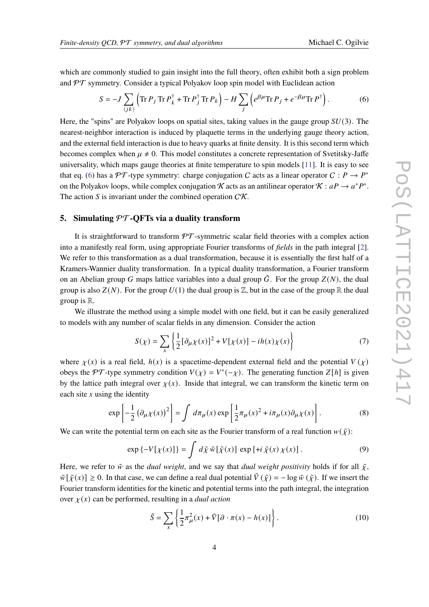which are commonly studied to gain insight into the full theory, often exhibit both a sign problem and  $\mathcal{PT}$  symmetry. Consider a typical Polyakov loop spin model with Euclidean action

<span id="page-3-0"></span>
$$
S = -J \sum_{\langle jk \rangle} \left( \text{Tr} \, P_j \, \text{Tr} \, P_k^\dagger + \text{Tr} \, P_j^\dagger \, \text{Tr} \, P_k \right) - H \sum_j \left( e^{\beta \mu} \text{Tr} \, P_j + e^{-\beta \mu} \text{Tr} \, P^\dagger \right). \tag{6}
$$

Here, the "spins" are Polyakov loops on spatial sites, taking values in the gauge group  $SU(3)$ . The nearest-neighbor interaction is induced by plaquette terms in the underlying gauge theory action, and the external field interaction is due to heavy quarks at finite density. It is this second term which becomes complex when  $\mu \neq 0$ . This model constitutes a concrete representation of Svetitsky-Jaffe universality, which maps gauge theories at finite temperature to spin models [\[11\]](#page-7-9). It is easy to see that eq. [\(6\)](#page-3-0) has a PT-type symmetry: charge conjugation C acts as a linear operator  $C: P \to P^*$ on the Polyakov loops, while complex conjugation K acts as an antilinear operator  $K : aP \to a^*P^*$ . The action S is invariant under the combined operation  $C\mathcal{K}$ .

## <span id="page-3-1"></span>**5. Simulating** PT**-QFTs via a duality transform**

It is straightforward to transform  $\mathcal{PT}$ -symmetric scalar field theories with a complex action into a manifestly real form, using appropriate Fourier transforms of *fields* in the path integral [\[2\]](#page-7-1). We refer to this transformation as a dual transformation, because it is essentially the first half of a Kramers-Wannier duality transformation. In a typical duality transformation, a Fourier transform on an Abelian group G maps lattice variables into a dual group  $\tilde{G}$ . For the group  $Z(N)$ , the dual group is also  $Z(N)$ . For the group  $U(1)$  the dual group is  $Z$ , but in the case of the group R the dual group is  $\mathbb{R}$ .

We illustrate the method using a simple model with one field, but it can be easily generalized to models with any number of scalar fields in any dimension. Consider the action

$$
S(\chi) = \sum_{x} \left\{ \frac{1}{2} [\partial_{\mu} \chi(x)]^2 + V[\chi(x)] - ih(x) \chi(x) \right\} \tag{7}
$$

where  $\chi(x)$  is a real field,  $h(x)$  is a spacetime-dependent external field and the potential  $V(x)$ obeys the PT-type symmetry condition  $V(\chi) = V^*(-\chi)$ . The generating function  $Z[h]$  is given by the lattice path integral over  $\chi(x)$ . Inside that integral, we can transform the kinetic term on each site  $x$  using the identity

$$
\exp\left[-\frac{1}{2}\left(\partial_{\mu} \chi(x)\right)^{2}\right] = \int d\pi_{\mu}(x) \exp\left[\frac{1}{2}\pi_{\mu}(x)^{2} + i\pi_{\mu}(x)\partial_{\mu} \chi(x)\right].
$$
 (8)

We can write the potential term on each site as the Fourier transform of a real function  $w(\tilde{\chi})$ :

$$
\exp\left\{-V[\chi(x)]\right\} = \int d\tilde{\chi} \,\tilde{w}[\tilde{\chi}(x)] \, \exp\left[\pm i \,\tilde{\chi}(x) \,\chi(x)\right].\tag{9}
$$

Here, we refer to  $\tilde{w}$  as the *dual weight*, and we say that *dual weight positivity* holds if for all  $\tilde{\chi}$ ,  $\tilde{\psi}[\tilde{\gamma}(x)] > 0$ . In that case, we can define a real dual potential  $\tilde{V}(\tilde{\gamma}) = -\log \tilde{\psi}(\tilde{\gamma})$ . If we insert the Fourier transform identities for the kinetic and potential terms into the path integral, the integration over  $\chi(x)$  can be performed, resulting in a *dual action* 

$$
\tilde{S} = \sum_{x} \left\{ \frac{1}{2} \pi_{\mu}^{2}(x) + \tilde{V} [\partial \cdot \pi(x) - h(x)] \right\}.
$$
 (10)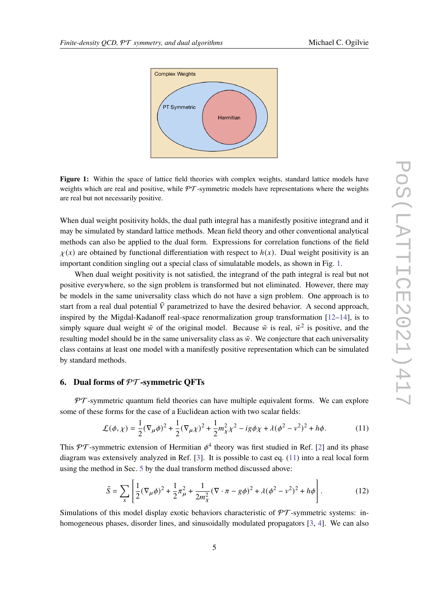<span id="page-4-0"></span>

Figure 1: Within the space of lattice field theories with complex weights, standard lattice models have weights which are real and positive, while  $\mathcal{PT}$ -symmetric models have representations where the weights are real but not necessarily positive.

When dual weight positivity holds, the dual path integral has a manifestly positive integrand and it may be simulated by standard lattice methods. Mean field theory and other conventional analytical methods can also be applied to the dual form. Expressions for correlation functions of the field  $\chi(x)$  are obtained by functional differentiation with respect to  $h(x)$ . Dual weight positivity is an important condition singling out a special class of simulatable models, as shown in Fig. [1.](#page-4-0)

When dual weight positivity is not satisfied, the integrand of the path integral is real but not positive everywhere, so the sign problem is transformed but not eliminated. However, there may be models in the same universality class which do not have a sign problem. One approach is to start from a real dual potential  $\tilde{V}$  parametrized to have the desired behavior. A second approach, inspired by the Migdal-Kadanoff real-space renormalization group transformation [\[12–](#page-7-10)[14\]](#page-7-11), is to simply square dual weight  $\tilde{w}$  of the original model. Because  $\tilde{w}$  is real,  $\tilde{w}^2$  is positive, and the resulting model should be in the same universality class as  $\tilde{w}$ . We conjecture that each universality class contains at least one model with a manifestly positive representation which can be simulated by standard methods.

# **6. Dual forms of** PT**-symmetric QFTs**

 $PT$ -symmetric quantum field theories can have multiple equivalent forms. We can explore some of these forms for the case of a Euclidean action with two scalar fields:

<span id="page-4-1"></span>
$$
\mathcal{L}(\phi, \chi) = \frac{1}{2} (\nabla_{\mu} \phi)^2 + \frac{1}{2} (\nabla_{\mu} \chi)^2 + \frac{1}{2} m_{\chi}^2 \chi^2 - ig \phi \chi + \lambda (\phi^2 - v^2)^2 + h \phi.
$$
 (11)

This PT-symmetric extension of Hermitian  $\phi^4$  theory was first studied in Ref. [\[2\]](#page-7-1) and its phase diagram was extensively analyzed in Ref. [\[3\]](#page-7-12). It is possible to cast eq. [\(11\)](#page-4-1) into a real local form using the method in Sec. [5](#page-3-1) by the dual transform method discussed above:

$$
\tilde{S} = \sum_{x} \left[ \frac{1}{2} (\nabla_{\mu} \phi)^2 + \frac{1}{2} \pi_{\mu}^2 + \frac{1}{2m_{\chi}^2} (\nabla \cdot \pi - g \phi)^2 + \lambda (\phi^2 - v^2)^2 + h \phi \right].
$$
 (12)

Simulations of this model display exotic behaviors characteristic of  $\mathcal{PT}$ -symmetric systems: in-homogeneous phases, disorder lines, and sinusoidally modulated propagators [\[3,](#page-7-12) [4\]](#page-7-2). We can also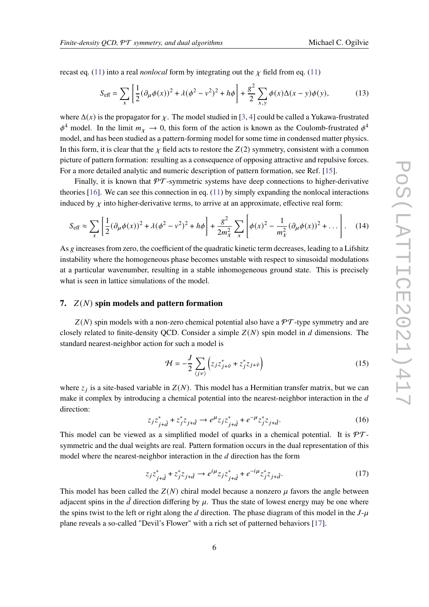recast eq. [\(11\)](#page-4-1) into a real *nonlocal* form by integrating out the  $\chi$  field from eq. (11)

$$
S_{\text{eff}} = \sum_{x} \left[ \frac{1}{2} (\partial_{\mu} \phi(x))^{2} + \lambda (\phi^{2} - v^{2})^{2} + h\phi \right] + \frac{g^{2}}{2} \sum_{x,y} \phi(x) \Delta(x - y) \phi(y), \tag{13}
$$

where  $\Delta(x)$  is the propagator for  $\chi$ . The model studied in [\[3,](#page-7-12) [4\]](#page-7-2) could be called a Yukawa-frustrated  $\phi^4$  model. In the limit  $m_{\chi} \to 0$ , this form of the action is known as the Coulomb-frustrated  $\phi^4$ model, and has been studied as a pattern-forming model for some time in condensed matter physics. In this form, it is clear that the  $\chi$  field acts to restore the  $Z(2)$  symmetry, consistent with a common picture of pattern formation: resulting as a consequence of opposing attractive and repulsive forces. For a more detailed analytic and numeric description of pattern formation, see Ref. [\[15\]](#page-7-13).

Finally, it is known that  $\mathcal{PT}$ -symmetric systems have deep connections to higher-derivative theories [\[16\]](#page-7-14). We can see this connection in eq. [\(11\)](#page-4-1) by simply expanding the nonlocal interactions induced by  $\chi$  into higher-derivative terms, to arrive at an approximate, effective real form:

$$
S_{\text{eff}} \approx \sum_{x} \left[ \frac{1}{2} (\partial_{\mu} \phi(x))^{2} + \lambda (\phi^{2} - v^{2})^{2} + h\phi \right] + \frac{g^{2}}{2m_{\chi}^{2}} \sum_{x} \left[ \phi(x)^{2} - \frac{1}{m_{\chi}^{2}} (\partial_{\mu} \phi(x))^{2} + \dots \right].
$$
 (14)

As  $g$  increases from zero, the coefficient of the quadratic kinetic term decreases, leading to a Lifshitz instability where the homogeneous phase becomes unstable with respect to sinusoidal modulations at a particular wavenumber, resulting in a stable inhomogeneous ground state. This is precisely what is seen in lattice simulations of the model.

#### **7.**  $Z(N)$  spin models and pattern formation

 $Z(N)$  spin models with a non-zero chemical potential also have a  $\mathcal{PT}$ -type symmetry and are closely related to finite-density QCD. Consider a simple  $Z(N)$  spin model in d dimensions. The standard nearest-neighbor action for such a model is

$$
\mathcal{H} = -\frac{J}{2} \sum_{\langle j\nu \rangle} \left( z_j z_{j+\hat{\nu}}^* + z_j^* z_{j+\hat{\nu}} \right)
$$
(15)

where  $z_j$  is a site-based variable in  $Z(N)$ . This model has a Hermitian transfer matrix, but we can make it complex by introducing a chemical potential into the nearest-neighbor interaction in the  $d$ direction:

$$
z_j z_{j+\hat{d}}^* + z_j^* z_{j+\hat{d}} \to e^{\mu} z_j z_{j+\hat{d}}^* + e^{-\mu} z_j^* z_{j+\hat{d}}.
$$
 (16)

This model can be viewed as a simplified model of quarks in a chemical potential. It is  $\mathcal{PT}$ symmetric and the dual weights are real. Pattern formation occurs in the dual representation of this model where the nearest-neighbor interaction in the  $d$  direction has the form

$$
z_j z_{j+\hat{d}}^* + z_j^* z_{j+\hat{d}} \to e^{i\mu} z_j z_{j+\hat{d}}^* + e^{-i\mu} z_j^* z_{j+\hat{d}}.
$$
 (17)

This model has been called the  $Z(N)$  chiral model because a nonzero  $\mu$  favors the angle between adiacent spins in the  $\hat{d}$  direction differing by  $\mu$ . Thus the state of lowest energy may be one where the spins twist to the left or right along the d direction. The phase diagram of this model in the  $J-\mu$ plane reveals a so-called "Devil's Flower" with a rich set of patterned behaviors [\[17\]](#page-7-15).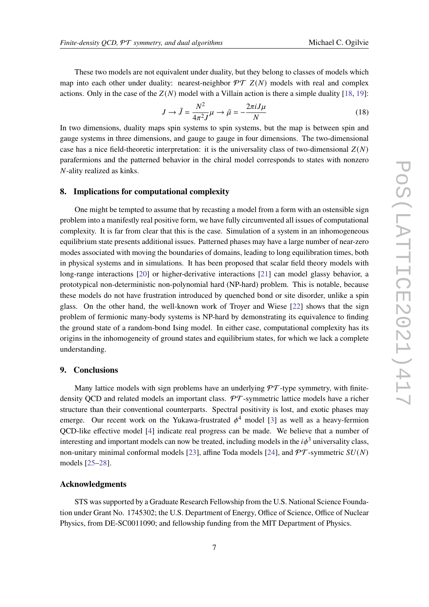These two models are not equivalent under duality, but they belong to classes of models which map into each other under duality: nearest-neighbor  $\mathcal{PT} Z(N)$  models with real and complex actions. Only in the case of the  $Z(N)$  model with a Villain action is there a simple duality [\[18,](#page-8-0) [19\]](#page-8-1):

$$
J \to \tilde{J} = \frac{N^2}{4\pi^2 J} \mu \to \tilde{\mu} = -\frac{2\pi i J \mu}{N}
$$
(18)

In two dimensions, duality maps spin systems to spin systems, but the map is between spin and gauge systems in three dimensions, and gauge to gauge in four dimensions. The two-dimensional case has a nice field-theoretic interpretation: it is the universality class of two-dimensional  $Z(N)$ parafermions and the patterned behavior in the chiral model corresponds to states with nonzero N-ality realized as kinks.

#### **8. Implications for computational complexity**

One might be tempted to assume that by recasting a model from a form with an ostensible sign problem into a manifestly real positive form, we have fully circumvented all issues of computational complexity. It is far from clear that this is the case. Simulation of a system in an inhomogeneous equilibrium state presents additional issues. Patterned phases may have a large number of near-zero modes associated with moving the boundaries of domains, leading to long equilibration times, both in physical systems and in simulations. It has been proposed that scalar field theory models with long-range interactions [\[20\]](#page-8-2) or higher-derivative interactions [\[21\]](#page-8-3) can model glassy behavior, a prototypical non-deterministic non-polynomial hard (NP-hard) problem. This is notable, because these models do not have frustration introduced by quenched bond or site disorder, unlike a spin glass. On the other hand, the well-known work of Troyer and Wiese [\[22\]](#page-8-4) shows that the sign problem of fermionic many-body systems is NP-hard by demonstrating its equivalence to finding the ground state of a random-bond Ising model. In either case, computational complexity has its origins in the inhomogeneity of ground states and equilibrium states, for which we lack a complete understanding.

#### **9. Conclusions**

Many lattice models with sign problems have an underlying  $\mathcal{PT}\text{-type}$  symmetry, with finitedensity OCD and related models an important class.  $\mathcal{PT}$ -symmetric lattice models have a richer structure than their conventional counterparts. Spectral positivity is lost, and exotic phases may emerge. Our recent work on the Yukawa-frustrated  $\phi^4$  model [\[3\]](#page-7-12) as well as a heavy-fermion QCD-like effective model [\[4\]](#page-7-2) indicate real progress can be made. We believe that a number of interesting and important models can now be treated, including models in the  $i\phi^3$  universality class, non-unitary minimal conformal models [\[23\]](#page-8-5), affine Toda models [\[24\]](#page-8-6), and  $\mathcal{PT}$ -symmetric  $SU(N)$ models [\[25–](#page-8-7)[28\]](#page-8-8).

## **Acknowledgments**

STS was supported by a Graduate Research Fellowship from the U.S. National Science Foundation under Grant No. 1745302; the U.S. Department of Energy, Office of Science, Office of Nuclear Physics, from DE-SC0011090; and fellowship funding from the MIT Department of Physics.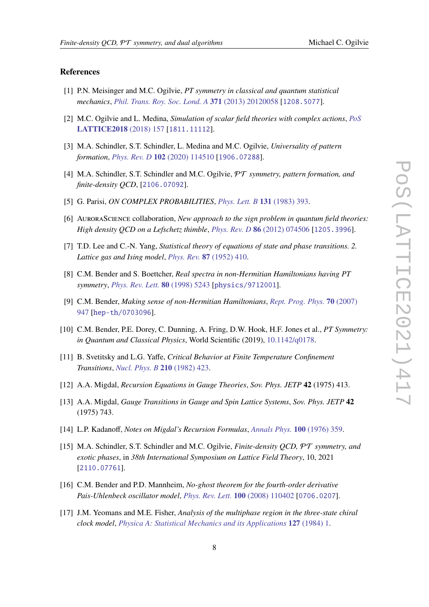#### **References**

- <span id="page-7-0"></span>[1] P.N. Meisinger and M.C. Ogilvie, *PT symmetry in classical and quantum statistical mechanics*, *[Phil. Trans. Roy. Soc. Lond. A](https://doi.org/10.1098/rsta.2012.0058)* **371** (2013) 20120058 [[1208.5077](https://arxiv.org/abs/1208.5077)].
- <span id="page-7-1"></span>[2] M.C. Ogilvie and L. Medina, *Simulation of scalar field theories with complex actions*, *[PoS](https://doi.org/10.22323/1.334.0157)* **[LATTICE2018](https://doi.org/10.22323/1.334.0157)** (2018) 157 [[1811.11112](https://arxiv.org/abs/1811.11112)].
- <span id="page-7-12"></span>[3] M.A. Schindler, S.T. Schindler, L. Medina and M.C. Ogilvie, *Universality of pattern formation*, *[Phys. Rev. D](https://doi.org/10.1103/PhysRevD.102.114510)* **102** (2020) 114510 [[1906.07288](https://arxiv.org/abs/1906.07288)].
- <span id="page-7-2"></span>[4] M.A. Schindler, S.T. Schindler and M.C. Ogilvie, PT *symmetry, pattern formation, and finite-density QCD*, [[2106.07092](https://arxiv.org/abs/2106.07092)].
- <span id="page-7-3"></span>[5] G. Parisi, *ON COMPLEX PROBABILITIES*, *[Phys. Lett. B](https://doi.org/10.1016/0370-2693(83)90525-7)* **131** (1983) 393.
- <span id="page-7-4"></span>[6] AuroraScience collaboration, *New approach to the sign problem in quantum field theories: High density QCD on a Lefschetz thimble*, *[Phys. Rev. D](https://doi.org/10.1103/PhysRevD.86.074506)* **86** (2012) 074506 [[1205.3996](https://arxiv.org/abs/1205.3996)].
- <span id="page-7-5"></span>[7] T.D. Lee and C.-N. Yang, *Statistical theory of equations of state and phase transitions. 2. Lattice gas and Ising model*, *[Phys. Rev.](https://doi.org/10.1103/PhysRev.87.410)* **87** (1952) 410.
- <span id="page-7-6"></span>[8] C.M. Bender and S. Boettcher, *Real spectra in non-Hermitian Hamiltonians having PT symmetry*, *[Phys. Rev. Lett.](https://doi.org/10.1103/PhysRevLett.80.5243)* **80** (1998) 5243 [[physics/9712001](https://arxiv.org/abs/physics/9712001)].
- <span id="page-7-7"></span>[9] C.M. Bender, *Making sense of non-Hermitian Hamiltonians*, *[Rept. Prog. Phys.](https://doi.org/10.1088/0034-4885/70/6/R03)* **70** (2007) [947](https://doi.org/10.1088/0034-4885/70/6/R03) [[hep-th/0703096](https://arxiv.org/abs/hep-th/0703096)].
- <span id="page-7-8"></span>[10] C.M. Bender, P.E. Dorey, C. Dunning, A. Fring, D.W. Hook, H.F. Jones et al., *PT Symmetry: in Quantum and Classical Physics*, World Scientific (2019), [10.1142/q0178.](https://doi.org/10.1142/q0178)
- <span id="page-7-9"></span>[11] B. Svetitsky and L.G. Yaffe, *Critical Behavior at Finite Temperature Confinement Transitions*, *[Nucl. Phys. B](https://doi.org/10.1016/0550-3213(82)90172-9)* **210** (1982) 423.
- <span id="page-7-10"></span>[12] A.A. Migdal, *Recursion Equations in Gauge Theories*, *Sov. Phys. JETP* **42** (1975) 413.
- [13] A.A. Migdal, *Gauge Transitions in Gauge and Spin Lattice Systems*, *Sov. Phys. JETP* **42** (1975) 743.
- <span id="page-7-11"></span>[14] L.P. Kadanoff, *Notes on Migdal's Recursion Formulas*, *[Annals Phys.](https://doi.org/10.1016/0003-4916(76)90066-X)* **100** (1976) 359.
- <span id="page-7-13"></span>[15] M.A. Schindler, S.T. Schindler and M.C. Ogilvie, *Finite-density QCD,* PT *symmetry, and exotic phases*, in *38th International Symposium on Lattice Field Theory*, 10, 2021 [[2110.07761](https://arxiv.org/abs/2110.07761)].
- <span id="page-7-14"></span>[16] C.M. Bender and P.D. Mannheim, *No-ghost theorem for the fourth-order derivative Pais-Uhlenbeck oscillator model*, *[Phys. Rev. Lett.](https://doi.org/10.1103/PhysRevLett.100.110402)* **100** (2008) 110402 [[0706.0207](https://arxiv.org/abs/0706.0207)].
- <span id="page-7-15"></span>[17] J.M. Yeomans and M.E. Fisher, *Analysis of the multiphase region in the three-state chiral clock model*, *[Physica A: Statistical Mechanics and its Applications](https://doi.org/https://doi.org/10.1016/0378-4371(84)90118-3)* **127** (1984) 1.